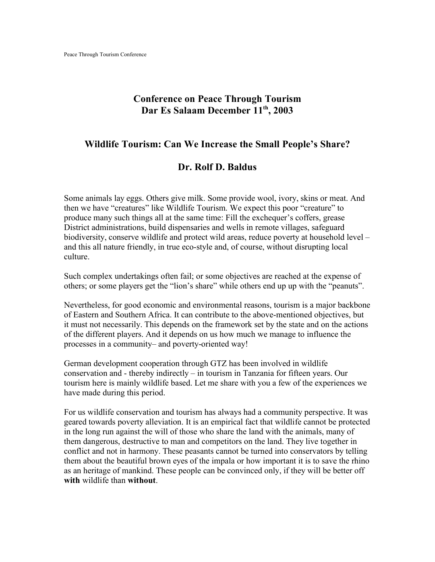## **Conference on Peace Through Tourism Dar Es Salaam December 11th, 2003**

## **Wildlife Tourism: Can We Increase the Small People's Share?**

## **Dr. Rolf D. Baldus**

Some animals lay eggs. Others give milk. Some provide wool, ivory, skins or meat. And then we have "creatures" like Wildlife Tourism. We expect this poor "creature" to produce many such things all at the same time: Fill the exchequer's coffers, grease District administrations, build dispensaries and wells in remote villages, safeguard biodiversity, conserve wildlife and protect wild areas, reduce poverty at household level – and this all nature friendly, in true eco-style and, of course, without disrupting local culture.

Such complex undertakings often fail; or some objectives are reached at the expense of others; or some players get the "lion's share" while others end up up with the "peanuts".

Nevertheless, for good economic and environmental reasons, tourism is a major backbone of Eastern and Southern Africa. It can contribute to the above-mentioned objectives, but it must not necessarily. This depends on the framework set by the state and on the actions of the different players. And it depends on us how much we manage to influence the processes in a community– and poverty-oriented way!

German development cooperation through GTZ has been involved in wildlife conservation and - thereby indirectly – in tourism in Tanzania for fifteen years. Our tourism here is mainly wildlife based. Let me share with you a few of the experiences we have made during this period.

For us wildlife conservation and tourism has always had a community perspective. It was geared towards poverty alleviation. It is an empirical fact that wildlife cannot be protected in the long run against the will of those who share the land with the animals, many of them dangerous, destructive to man and competitors on the land. They live together in conflict and not in harmony. These peasants cannot be turned into conservators by telling them about the beautiful brown eyes of the impala or how important it is to save the rhino as an heritage of mankind. These people can be convinced only, if they will be better off **with** wildlife than **without**.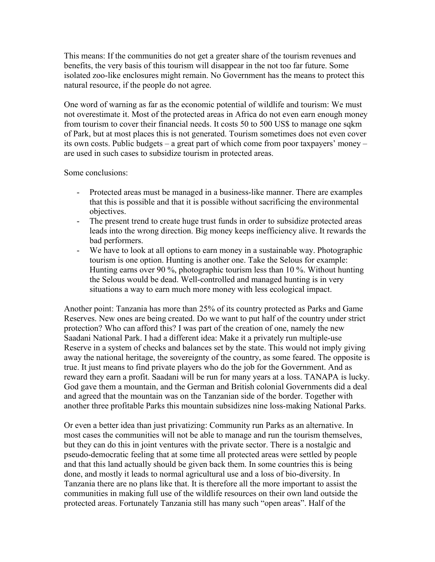This means: If the communities do not get a greater share of the tourism revenues and benefits, the very basis of this tourism will disappear in the not too far future. Some isolated zoo-like enclosures might remain. No Government has the means to protect this natural resource, if the people do not agree.

One word of warning as far as the economic potential of wildlife and tourism: We must not overestimate it. Most of the protected areas in Africa do not even earn enough money from tourism to cover their financial needs. It costs 50 to 500 US\$ to manage one sqkm of Park, but at most places this is not generated. Tourism sometimes does not even cover its own costs. Public budgets – a great part of which come from poor taxpayers' money – are used in such cases to subsidize tourism in protected areas.

Some conclusions:

- Protected areas must be managed in a business-like manner. There are examples that this is possible and that it is possible without sacrificing the environmental objectives.
- The present trend to create huge trust funds in order to subsidize protected areas leads into the wrong direction. Big money keeps inefficiency alive. It rewards the bad performers.
- We have to look at all options to earn money in a sustainable way. Photographic tourism is one option. Hunting is another one. Take the Selous for example: Hunting earns over 90 %, photographic tourism less than 10 %. Without hunting the Selous would be dead. Well-controlled and managed hunting is in very situations a way to earn much more money with less ecological impact.

Another point: Tanzania has more than 25% of its country protected as Parks and Game Reserves. New ones are being created. Do we want to put half of the country under strict protection? Who can afford this? I was part of the creation of one, namely the new Saadani National Park. I had a different idea: Make it a privately run multiple-use Reserve in a system of checks and balances set by the state. This would not imply giving away the national heritage, the sovereignty of the country, as some feared. The opposite is true. It just means to find private players who do the job for the Government. And as reward they earn a profit. Saadani will be run for many years at a loss. TANAPA is lucky. God gave them a mountain, and the German and British colonial Governments did a deal and agreed that the mountain was on the Tanzanian side of the border. Together with another three profitable Parks this mountain subsidizes nine loss-making National Parks.

Or even a better idea than just privatizing: Community run Parks as an alternative. In most cases the communities will not be able to manage and run the tourism themselves, but they can do this in joint ventures with the private sector. There is a nostalgic and pseudo-democratic feeling that at some time all protected areas were settled by people and that this land actually should be given back them. In some countries this is being done, and mostly it leads to normal agricultural use and a loss of bio-diversity. In Tanzania there are no plans like that. It is therefore all the more important to assist the communities in making full use of the wildlife resources on their own land outside the protected areas. Fortunately Tanzania still has many such "open areas". Half of the